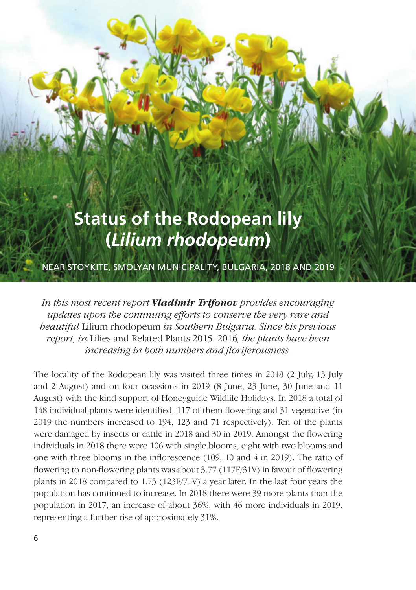## **Status of the Rodopean lily (***Lilium rhodopeum***)**

NEAR STOYKITE, SMOLYAN MUNICIPALITY, BULGARIA, 2018 AND 2019

*In this most recent report Vladimir Trifonov provides encouraging updates upon the continuing efforts to conserve the very rare and beautiful* Lilium rhodopeum *in Southern Bulgaria. Since his previous report, in* Lilies and Related Plants 2015–2016*, the plants have been increasing in both numbers and floriferousness.*

The locality of the Rodopean lily was visited three times in 2018 (2 July, 13 July and 2 August) and on four ocassions in 2019 (8 June, 23 June, 30 June and 11 August) with the kind support of Honeyguide Wildlife Holidays. In 2018 a total of 148 individual plants were identified, 117 of them flowering and 31 vegetative (in 2019 the numbers increased to 194, 123 and 71 respectively). Ten of the plants were damaged by insects or cattle in 2018 and 30 in 2019. Amongst the flowering individuals in 2018 there were 106 with single blooms, eight with two blooms and one with three blooms in the inflorescence (109, 10 and 4 in 2019). The ratio of flowering to non-flowering plants was about 3.77 (117F/31V) in favour of flowering plants in 2018 compared to 1.73 (123F/71V) a year later. In the last four years the population has continued to increase. In 2018 there were 39 more plants than the population in 2017, an increase of about 36%, with 46 more individuals in 2019, representing a further rise of approximately 31%.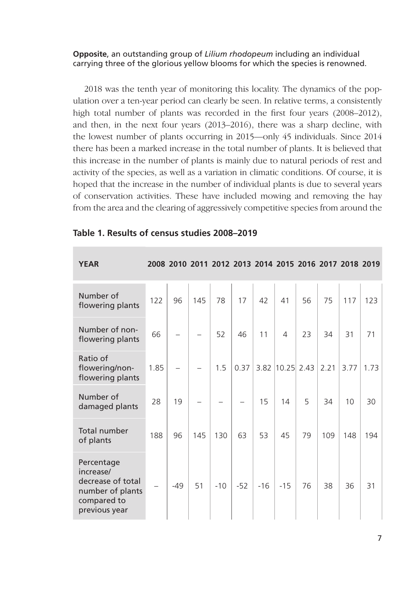## **Opposite**, an outstanding group of *Lilium rhodopeum* including an individual carrying three of the glorious yellow blooms for which the species is renowned.

2018 was the tenth year of monitoring this locality. The dynamics of the population over a ten-year period can clearly be seen. In relative terms, a consistently high total number of plants was recorded in the first four years (2008–2012), and then, in the next four years (2013–2016), there was a sharp decline, with the lowest number of plants occurring in 2015—only 45 individuals. Since 2014 there has been a marked increase in the total number of plants. It is believed that this increase in the number of plants is mainly due to natural periods of rest and activity of the species, as well as a variation in climatic conditions. Of course, it is hoped that the increase in the number of individual plants is due to several years of conservation activities. These have included mowing and removing the hay from the area and the clearing of aggressively competitive species from around the

| <b>YEAR</b>                                                                                      |      |       |     |       |       |       | 2008 2010 2011 2012 2013 2014 2015 2016 2017 2018 2019 |    |      |      |      |
|--------------------------------------------------------------------------------------------------|------|-------|-----|-------|-------|-------|--------------------------------------------------------|----|------|------|------|
| Number of<br>flowering plants                                                                    | 122  | 96    | 145 | 78    | 17    | 42    | 41                                                     | 56 | 75   | 117  | 123  |
| Number of non-<br>flowering plants                                                               | 66   |       |     | 52    | 46    | 11    | $\overline{4}$                                         | 23 | 34   | 31   | 71   |
| Ratio of<br>flowering/non-<br>flowering plants                                                   | 1.85 |       |     | 1.5   | 0.37  | 3.82  | $10.25$ 2.43                                           |    | 2.21 | 3.77 | 1.73 |
| Number of<br>damaged plants                                                                      | 28   | 19    |     |       |       | 15    | 14                                                     | 5  | 34   | 10   | 30   |
| Total number<br>of plants                                                                        | 188  | 96    | 145 | 130   | 63    | 53    | 45                                                     | 79 | 109  | 148  | 194  |
| Percentage<br>increase/<br>decrease of total<br>number of plants<br>compared to<br>previous year |      | $-49$ | 51  | $-10$ | $-52$ | $-16$ | $-15$                                                  | 76 | 38   | 36   | 31   |

## **Table 1. Results of census studies 2008–2019**